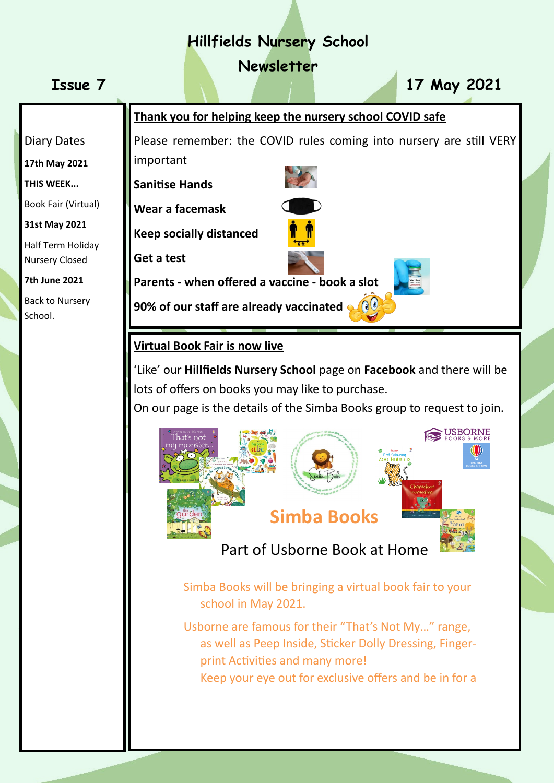# **Hillfields Nursery School**

**Newsletter**

**Issue 7 17 May 2021**

#### Diary Dates

**17th May 2021**

**THIS WEEK...**

Book Fair (Virtual)

**31st May 2021**

Half Term Holiday Nursery Closed

**7th June 2021**

Back to Nursery School.



Please remember: the COVID rules coming into nursery are still VERY important

**Sanitise Hands** 



**Wear a facemask**

**Keep socially distanced**

**Get a test** 

**Parents - when offered a vaccine - book a slot………**

**90% of our staff are already vaccinated**  $\bigcirc$ 

#### **Virtual Book Fair is now live**

'Like' our **Hillfields Nursery School** page on **Facebook** and there will be lots of offers on books you may like to purchase.

On our page is the details of the Simba Books group to request to join.



Part of Usborne Book at Home

Simba Books will be bringing a virtual book fair to your school in May 2021.

Usborne are famous for their "That's Not My…" range, as well as Peep Inside, Sticker Dolly Dressing, Fingerprint Activities and many more!

Keep your eye out for exclusive offers and be in for a